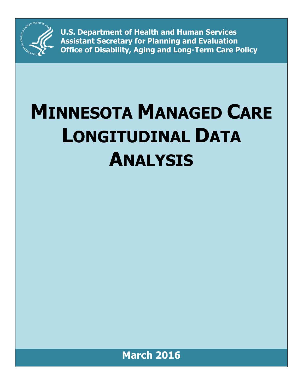

**U.S. Department of Health and Human Services Assistant Secretary for Planning and Evaluation Office of Disability, Aging and Long-Term Care Policy**

# **MINNESOTA MANAGED CARE LONGITUDINAL DATA ANALYSIS**

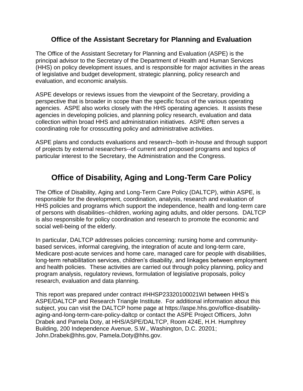## **Office of the Assistant Secretary for Planning and Evaluation**

The Office of the Assistant Secretary for Planning and Evaluation (ASPE) is the principal advisor to the Secretary of the Department of Health and Human Services (HHS) on policy development issues, and is responsible for major activities in the areas of legislative and budget development, strategic planning, policy research and evaluation, and economic analysis.

ASPE develops or reviews issues from the viewpoint of the Secretary, providing a perspective that is broader in scope than the specific focus of the various operating agencies. ASPE also works closely with the HHS operating agencies. It assists these agencies in developing policies, and planning policy research, evaluation and data collection within broad HHS and administration initiatives. ASPE often serves a coordinating role for crosscutting policy and administrative activities.

ASPE plans and conducts evaluations and research--both in-house and through support of projects by external researchers--of current and proposed programs and topics of particular interest to the Secretary, the Administration and the Congress.

## **Office of Disability, Aging and Long-Term Care Policy**

The Office of Disability, Aging and Long-Term Care Policy (DALTCP), within ASPE, is responsible for the development, coordination, analysis, research and evaluation of HHS policies and programs which support the independence, health and long-term care of persons with disabilities--children, working aging adults, and older persons. DALTCP is also responsible for policy coordination and research to promote the economic and social well-being of the elderly.

In particular, DALTCP addresses policies concerning: nursing home and communitybased services, informal caregiving, the integration of acute and long-term care, Medicare post-acute services and home care, managed care for people with disabilities, long-term rehabilitation services, children's disability, and linkages between employment and health policies. These activities are carried out through policy planning, policy and program analysis, regulatory reviews, formulation of legislative proposals, policy research, evaluation and data planning.

This report was prepared under contract #HHSP23320100021WI between HHS's ASPE/DALTCP and Research Triangle Institute. For additional information about this subject, you can visit the DALTCP home page at https://aspe.hhs.gov/office-disabilityaging-and-long-term-care-policy-daltcp or contact the ASPE Project Officers, John Drabek and Pamela Doty, at HHS/ASPE/DALTCP, Room 424E, H.H. Humphrey Building, 200 Independence Avenue, S.W., Washington, D.C. 20201; John.Drabek@hhs.gov, Pamela.Doty@hhs.gov.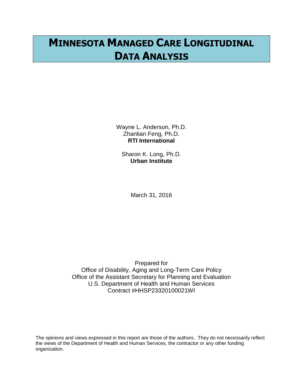# **MINNESOTA MANAGED CARE LONGITUDINAL DATA ANALYSIS**

Wayne L. Anderson, Ph.D. Zhanlian Feng, Ph.D. **RTI International**

Sharon K. Long, Ph.D. **Urban Institute**

March 31, 2016

Prepared for Office of Disability, Aging and Long-Term Care Policy Office of the Assistant Secretary for Planning and Evaluation U.S. Department of Health and Human Services Contract #HHSP23320100021WI

The opinions and views expressed in this report are those of the authors. They do not necessarily reflect the views of the Department of Health and Human Services, the contractor or any other funding organization.